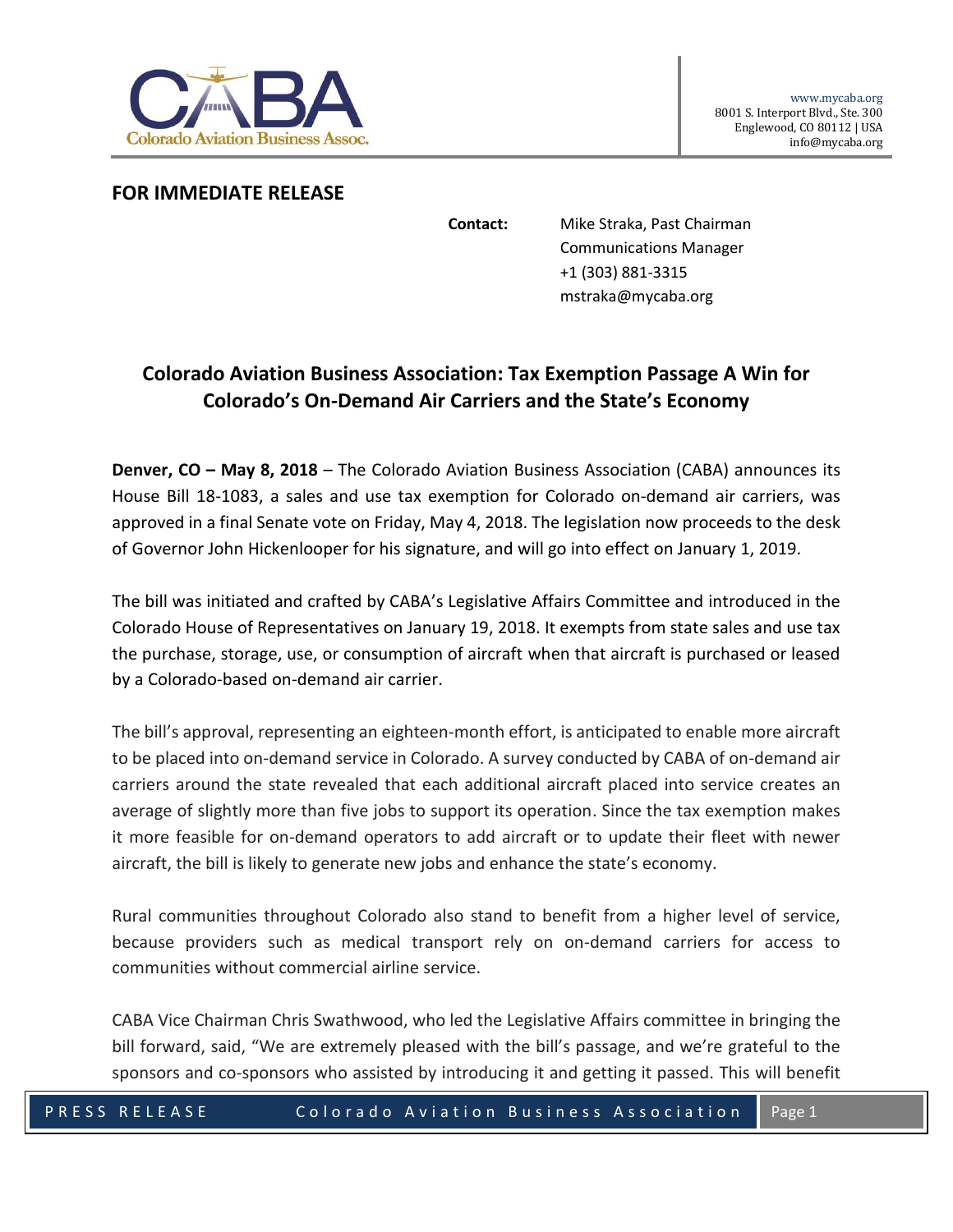

## **FOR IMMEDIATE RELEASE**

**Contact:** Mike Straka, Past Chairman Communications Manager +1 (303) 881-3315 mstraka@mycaba.org

## **Colorado Aviation Business Association: Tax Exemption Passage A Win for Colorado's On-Demand Air Carriers and the State's Economy**

**Denver, CO – May 8, 2018** – The Colorado Aviation Business Association (CABA) announces its House Bill 18-1083, a sales and use tax exemption for Colorado on-demand air carriers, was approved in a final Senate vote on Friday, May 4, 2018. The legislation now proceeds to the desk of Governor John Hickenlooper for his signature, and will go into effect on January 1, 2019.

The bill was initiated and crafted by CABA's Legislative Affairs Committee and introduced in the Colorado House of Representatives on January 19, 2018. It exempts from state sales and use tax the purchase, storage, use, or consumption of aircraft when that aircraft is purchased or leased by a Colorado-based on-demand air carrier.

The bill's approval, representing an eighteen-month effort, is anticipated to enable more aircraft to be placed into on-demand service in Colorado. A survey conducted by CABA of on-demand air carriers around the state revealed that each additional aircraft placed into service creates an average of slightly more than five jobs to support its operation. Since the tax exemption makes it more feasible for on-demand operators to add aircraft or to update their fleet with newer aircraft, the bill is likely to generate new jobs and enhance the state's economy.

Rural communities throughout Colorado also stand to benefit from a higher level of service, because providers such as medical transport rely on on-demand carriers for access to communities without commercial airline service.

CABA Vice Chairman Chris Swathwood, who led the Legislative Affairs committee in bringing the bill forward, said, "We are extremely pleased with the bill's passage, and we're grateful to the sponsors and co-sponsors who assisted by introducing it and getting it passed. This will benefit